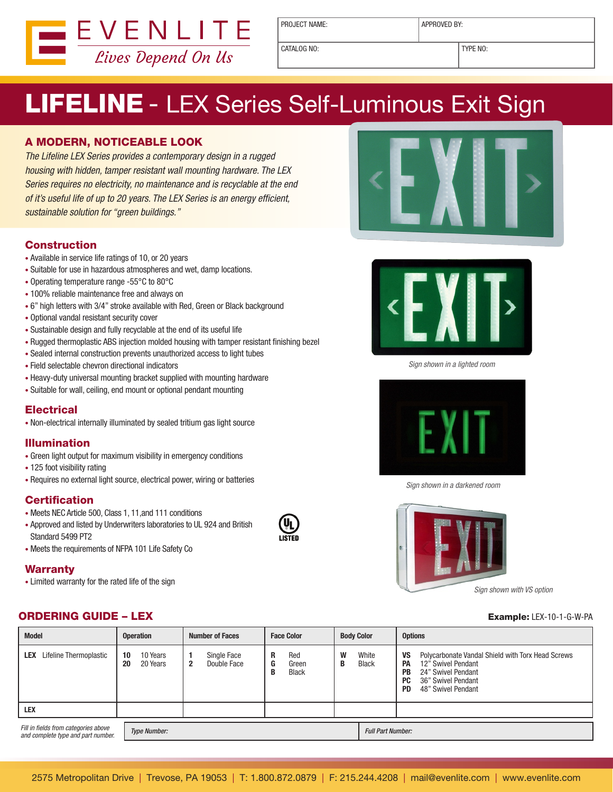

PROJECT NAME:  $\vert$  APPROVED BY:

CATALOG NO: TYPE NO:

# LIFELINE - LEX Series Self-Luminous Exit Sign

#### A MODERN, NOTICEABLE LOOK

The Lifeline LEX Series provides a contemporary design in a rugged housing with hidden, tamper resistant wall mounting hardware. The LEX Series requires no electricity, no maintenance and is recyclable at the end of it's useful life of up to 20 years. The LEX Series is an energy efficient, sustainable solution for "green buildings."

#### **Construction**

- Available in service life ratings of 10, or 20 years
- Suitable for use in hazardous atmospheres and wet, damp locations.
- Operating temperature range -55°C to 80°C
- 100% reliable maintenance free and always on
- 6" high letters with 3/4" stroke available with Red, Green or Black background
- Optional vandal resistant security cover
- Sustainable design and fully recyclable at the end of its useful life
- Rugged thermoplastic ABS injection molded housing with tamper resistant finishing bezel
- Sealed internal construction prevents unauthorized access to light tubes
- Field selectable chevron directional indicators
- Heavy-duty universal mounting bracket supplied with mounting hardware
- Suitable for wall, ceiling, end mount or optional pendant mounting

#### **Electrical**

• Non-electrical internally illuminated by sealed tritium gas light source

#### Illumination

- Green light output for maximum visibility in emergency conditions
- 125 foot visibility rating
- Requires no external light source, electrical power, wiring or batteries

#### **Certification**

- Meets NEC Article 500, Class 1, 11,and 111 conditions
- Approved and listed by Underwriters laboratories to UL 924 and British Standard 5499 PT2
- Meets the requirements of NFPA 101 Life Safety Co

#### **Warranty**

• Limited warranty for the rated life of the sign

### **ORDERING GUIDE – LEX** Example: LEX-10-1-G-W-PA







Sign shown in a lighted room



Sign shown in a darkened room